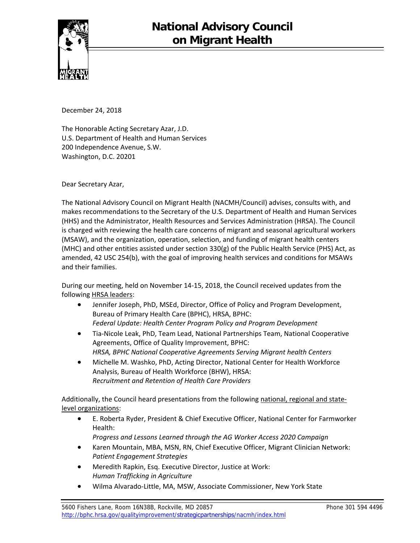

December 24, 2018

The Honorable Acting Secretary Azar, J.D. U.S. Department of Health and Human Services 200 Independence Avenue, S.W. Washington, D.C. 20201

Dear Secretary Azar,

The National Advisory Council on Migrant Health (NACMH/Council) advises, consults with, and makes recommendations to the Secretary of the U.S. Department of Health and Human Services (HHS) and the Administrator, Health Resources and Services Administration (HRSA). The Council is charged with reviewing the health care concerns of migrant and seasonal agricultural workers (MSAW), and the organization, operation, selection, and funding of migrant health centers (MHC) and other entities assisted under section 330(g) of the Public Health Service (PHS) Act, as amended, 42 USC 254(b), with the goal of improving health services and conditions for MSAWs and their families.

During our meeting, held on November 14-15, 2018, the Council received updates from the following HRSA leaders:

- Jennifer Joseph, PhD, MSEd, Director, Office of Policy and Program Development, Bureau of Primary Health Care (BPHC), HRSA, BPHC: *Federal Update: Health Center Program Policy and Program Development*
- Tia-Nicole Leak, PhD, Team Lead, National Partnerships Team, National Cooperative Agreements, Office of Quality Improvement, BPHC: *HRSA, BPHC National Cooperative Agreements Serving Migrant health Centers*
- Michelle M. Washko, PhD, Acting Director, National Center for Health Workforce Analysis, Bureau of Health Workforce (BHW), HRSA: *Recruitment and Retention of Health Care Providers*

Additionally, the Council heard presentations from the following national, regional and statelevel organizations:

- E. Roberta Ryder, President & Chief Executive Officer, National Center for Farmworker Health:
	- *Progress and Lessons Learned through the AG Worker Access 2020 Campaign*
- Karen Mountain, MBA, MSN, RN, Chief Executive Officer, Migrant Clinician Network: *Patient Engagement Strategies*
- Meredith Rapkin, Esq. Executive Director, Justice at Work: *Human Trafficking in Agriculture*
- Wilma Alvarado-Little, MA, MSW, Associate Commissioner, New York State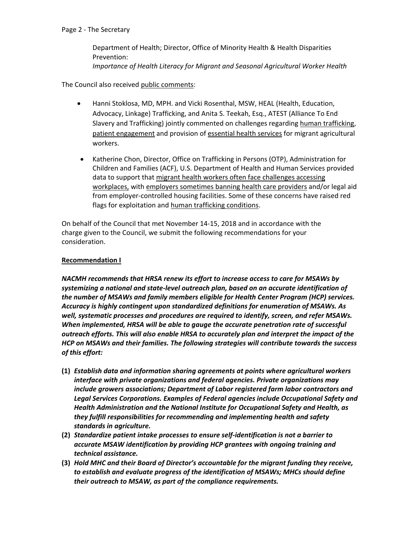Department of Health; Director, Office of Minority Health & Health Disparities Prevention: *Importance of Health Literacy for Migrant and Seasonal Agricultural Worker Health* 

The Council also received public comments:

- Hanni Stoklosa, MD, MPH. and Vicki Rosenthal, MSW, HEAL (Health, Education, Advocacy, Linkage) Trafficking, and Anita S. Teekah, Esq., ATEST (Alliance To End Slavery and Trafficking) jointly commented on challenges regarding human trafficking, patient engagement and provision of essential health services for migrant agricultural workers.
- Katherine Chon, Director, Office on Trafficking in Persons (OTP), Administration for Children and Families (ACF), U.S. Department of Health and Human Services provided data to support that migrant health workers often face challenges accessing workplaces, with employers sometimes banning health care providers and/or legal aid from employer-controlled housing facilities. Some of these concerns have raised red flags for exploitation and human trafficking conditions.

On behalf of the Council that met November 14-15, 2018 and in accordance with the charge given to the Council, we submit the following recommendations for your consideration.

# **Recommendation I**

*NACMH recommends that HRSA renew its effort to increase access to care for MSAWs by systemizing a national and state-level outreach plan, based on an accurate identification of the number of MSAWs and family members eligible for Health Center Program (HCP) services. Accuracy is highly contingent upon standardized definitions for enumeration of MSAWs. As well, systematic processes and procedures are required to identify, screen, and refer MSAWs. When implemented, HRSA will be able to gauge the accurate penetration rate of successful outreach efforts. This will also enable HRSA to accurately plan and interpret the impact of the HCP on MSAWs and their families. The following strategies will contribute towards the success of this effort:* 

- **(1)** *Establish data and information sharing agreements at points where agricultural workers interface with private organizations and federal agencies. Private organizations may include growers associations; Department of Labor registered farm labor contractors and Legal Services Corporations. Examples of Federal agencies include Occupational Safety and Health Administration and the National Institute for Occupational Safety and Health, as they fulfill responsibilities for recommending and implementing health and safety standards in agriculture.*
- **(2)** *Standardize patient intake processes to ensure self-identification is not a barrier to accurate MSAW identification by providing HCP grantees with ongoing training and technical assistance.*
- **(3)** *Hold MHC and their Board of Director's accountable for the migrant funding they receive, to establish and evaluate progress of the identification of MSAWs; MHCs should define their outreach to MSAW, as part of the compliance requirements.*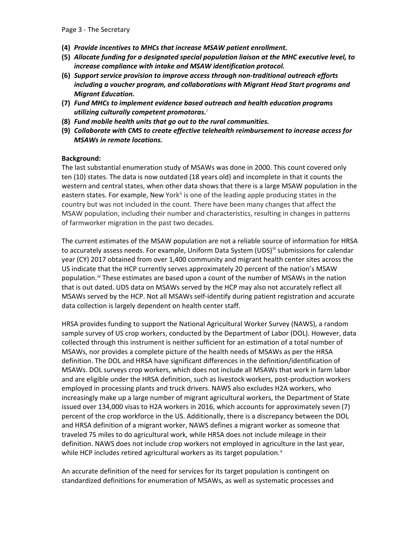- **(4)** *Provide incentives to MHCs that increase MSAW patient enrollment.*
- **(5)** *Allocate funding for a designated special population liaison at the MHC executive level, to increase compliance with intake and MSAW identification protocol.*
- **(6)** *Support service provision to improve access through non-traditional outreach efforts including a voucher program, and collaborations with Migrant Head Start programs and Migrant Education.*
- **(7)** *Fund MHCs to implement evidence based outreach and health education programs utilizing culturally competent promotoras.[i](#page-9-0)*
- **(8)** *Fund mobile health units that go out to the rural communities.*
- **(9)** *Collaborate with CMS to create effective telehealth reimbursement to increase access for MSAWs in remote locations.*

### **Background:**

The last substantial enumeration study of MSAWs was done in 2000. This count covered only ten (10) states. The data is now outdated (18 years old) and incomplete in that it counts the western and central states, when other data shows that there is a large MSAW population in the eastern states. For example, New York<sup>[ii](#page-9-0)</sup> is one of the leading apple producing states in the country but was not included in the count. There have been many changes that affect the MSAW population, including their number and characteristics, resulting in changes in patterns of farmworker migration in the past two decades.

The current estimates of the MSAW population are not a reliable source of information for HRSA to accurately assess needs. For example, Uniform Data System (UDS)<sup>[iii](#page-9-0)</sup> submissions for calendar year (CY) 2017 obtained from over 1,400 community and migrant health center sites across the US indicate that the HCP currently serves approximately 20 percent of the nation's MSAW population.<sup>*i*v</sup> These estimates are based upon a count of the number of MSAWs in the nation that is out dated. UDS data on MSAWs served by the HCP may also not accurately reflect all MSAWs served by the HCP. Not all MSAWs self-identify during patient registration and accurate data collection is largely dependent on health center staff.

HRSA provides funding to support the National Agricultural Worker Survey (NAWS), a random sample survey of US crop workers, conducted by the Department of Labor (DOL). However, data collected through this instrument is neither sufficient for an estimation of a total number of MSAWs, nor provides a complete picture of the health needs of MSAWs as per the HRSA definition. The DOL and HRSA have significant differences in the definition/identification of MSAWs. DOL surveys crop workers, which does not include all MSAWs that work in farm labor and are eligible under the HRSA definition, such as livestock workers, post-production workers employed in processing plants and truck drivers. NAWS also excludes H2A workers, who increasingly make up a large number of migrant agricultural workers, the Department of State issued over 134,000 visas to H2A workers in 2016, which accounts for approximately seven (7) percent of the crop workforce in the US. Additionally, there is a discrepancy between the DOL and HRSA definition of a migrant worker, NAWS defines a migrant worker as someone that traveled 75 miles to do agricultural work, while HRSA does not include mileage in their definition. NAWS does not include crop workers not employed in agriculture in the last year, while HCP includes retired agricultural workers as its target population. $v$ 

An accurate definition of the need for services for its target population is contingent on standardized definitions for enumeration of MSAWs, as well as systematic processes and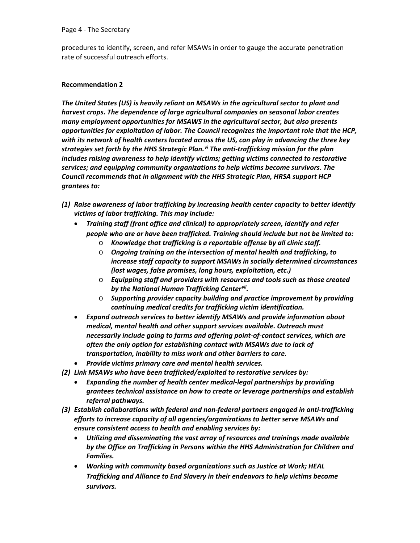procedures to identify, screen, and refer MSAWs in order to gauge the accurate penetration rate of successful outreach efforts.

## **Recommendation 2**

*The United States (US) is heavily reliant on MSAWs in the agricultural sector to plant and harvest crops. The dependence of large agricultural companies on seasonal labor creates many employment opportunities for MSAWS in the agricultural sector, but also presents opportunities for exploitation of labor. The Council recognizes the important role that the HCP, with its network of health centers located across the US, can play in advancing the three key strategies set forth by the HHS Strategic Plan.[vi](#page-9-0) The anti-trafficking mission for the plan includes raising awareness to help identify victims; getting victims connected to restorative services; and equipping community organizations to help victims become survivors. The Council recommends that in alignment with the HHS Strategic Plan, HRSA support HCP grantees to:*

- *(1) Raise awareness of labor trafficking by increasing health center capacity to better identify victims of labor trafficking. This may include:*
	- *Training staff (front office and clinical) to appropriately screen, identify and refer people who are or have been trafficked. Training should include but not be limited to:*
		- *Knowledge that trafficking is a reportable offense by all clinic staff.*
		- *Ongoing training on the intersection of mental health and trafficking, to increase staff capacity to support MSAWs in socially determined circumstances (lost wages, false promises, long hours, exploitation, etc.)*
		- *Equipping staff and providers with resources and tools such as those created by the National Human Trafficking Center[vii](#page-9-0).*
		- *Supporting provider capacity building and practice improvement by providing continuing medical credits for trafficking victim identification.*
	- *Expand outreach services to better identify MSAWs and provide information about medical, mental health and other support services available. Outreach must necessarily include going to farms and offering point-of-contact services, which are often the only option for establishing contact with MSAWs due to lack of transportation, inability to miss work and other barriers to care.*
	- *Provide victims primary care and mental health services.*
- *(2) Link MSAWs who have been trafficked/exploited to restorative services by:* 
	- *Expanding the number of health center medical-legal partnerships by providing grantees technical assistance on how to create or leverage partnerships and establish referral pathways.*
- *(3) Establish collaborations with federal and non-federal partners engaged in anti-trafficking efforts to increase capacity of all agencies/organizations to better serve MSAWs and ensure consistent access to health and enabling services by:*
	- *Utilizing and disseminating the vast array of resources and trainings made available by the Office on Trafficking in Persons within the HHS Administration for Children and Families.*
	- *Working with community based organizations such as Justice at Work; HEAL Trafficking and Alliance to End Slavery in their endeavors to help victims become survivors.*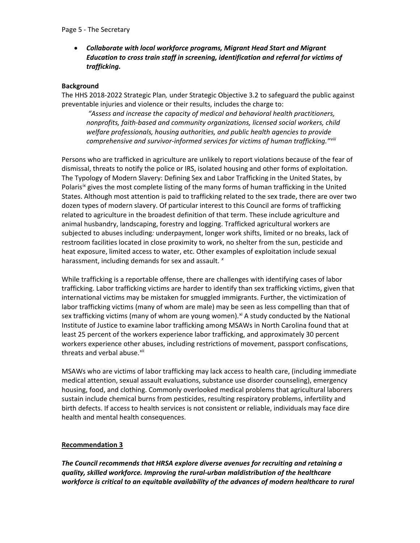#### Page 5 - The Secretary

• *Collaborate with local workforce programs, Migrant Head Start and Migrant Education to cross train staff in screening, identification and referral for victims of trafficking.* 

## **Background**

The HHS 2018-2022 Strategic Plan*,* under Strategic Objective 3.2 to safeguard the public against preventable injuries and violence or their results, includes the charge to:

*"Assess and increase the capacity of medical and behavioral health practitioners, nonprofits, faith-based and community organizations, licensed social workers, child welfare professionals, housing authorities, and public health agencies to provide comprehensive and survivor-informed services for victims of human trafficking."[viii](#page-9-0)*

Persons who are trafficked in agriculture are unlikely to report violations because of the fear of dismissal, threats to notify the police or IRS, isolated housing and other forms of exploitation. The Typology of Modern Slavery: Defining Sex and Labor Trafficking in the United States, by Polaris<sup>[ix](#page-9-0)</sup> gives the most complete listing of the many forms of human trafficking in the United States. Although most attention is paid to trafficking related to the sex trade, there are over two dozen types of modern slavery. Of particular interest to this Council are forms of trafficking related to agriculture in the broadest definition of that term. These include agriculture and animal husbandry, landscaping, forestry and logging. Trafficked agricultural workers are subjected to abuses including*:* underpayment, longer work shifts, limited or no breaks, lack of restroom facilities located in close proximity to work, no shelter from the sun, pesticide and heat exposure, limited access to water, etc. Other examples of exploitation include sexual harassment, including demands for sex and assault. *[x](#page-9-0)*

While trafficking is a reportable offense, there are challenges with identifying cases of labor trafficking. Labor trafficking victims are harder to identify than sex trafficking victims, given that international victims may be mistaken for smuggled immigrants. Further, the victimization of labor trafficking victims (many of whom are male) may be seen as less compelling than that of sex trafficking victims (many of whom are young women).<sup>[xi](#page-9-0)</sup> A study conducted by the National Institute of Justice to examine labor trafficking among MSAWs in North Carolina found that at least 25 percent of the workers experience labor trafficking, and approximately 30 percent workers experience other abuses, including restrictions of movement, passport confiscations, threats and verbal abuse.<sup>[xii](#page-9-0)</sup>

MSAWs who are victims of labor trafficking may lack access to health care, (including immediate medical attention, sexual assault evaluations, substance use disorder counseling), emergency housing, food, and clothing. Commonly overlooked medical problems that agricultural laborers sustain include chemical burns from pesticides, resulting respiratory problems, infertility and birth defects. If access to health services is not consistent or reliable, individuals may face dire health and mental health consequences.

# **Recommendation 3**

*The Council recommends that HRSA explore diverse avenues for recruiting and retaining a quality, skilled workforce. Improving the rural-urban maldistribution of the healthcare workforce is critical to an equitable availability of the advances of modern healthcare to rural*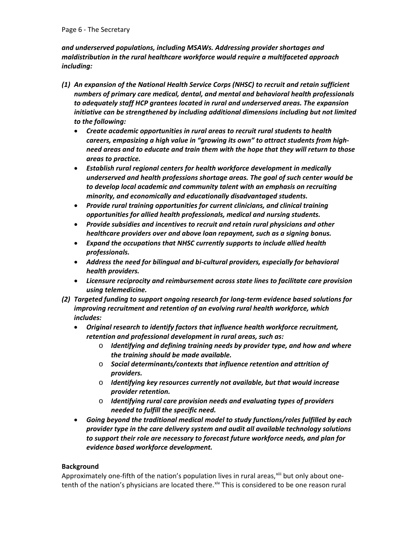*and underserved populations, including MSAWs. Addressing provider shortages and maldistribution in the rural healthcare workforce would require a multifaceted approach including:* 

- *(1) An expansion of the National Health Service Corps (NHSC) to recruit and retain sufficient numbers of primary care medical, dental, and mental and behavioral health professionals to adequately staff HCP grantees located in rural and underserved areas. The expansion initiative can be strengthened by including additional dimensions including but not limited to the following:*
	- *Create academic opportunities in rural areas to recruit rural students to health careers, empasizing a high value in "growing its own" to attract students from highneed areas and to educate and train them with the hope that they will return to those areas to practice.*
	- *Establish rural regional centers for health workforce development in medically underserved and health professions shortage areas. The goal of such center would be to develop local academic and community talent with an emphasis on recruiting minority, and economically and educationally disadvantaged students.*
	- *Provide rural training opportunities for current clinicians, and clinical training opportunities for allied health professionals, medical and nursing students.*
	- *Provide subsidies and incentives to recruit and retain rural physicians and other healthcare providers over and above loan repayment, such as a signing bonus.*
	- *Expand the occupations that NHSC currently supports to include allied health professionals.*
	- *Address the need for bilingual and bi-cultural providers, especially for behavioral health providers.*
	- *Licensure reciprocity and reimbursement across state lines to facilitate care provision using telemedicine.*
- *(2) Targeted funding to support ongoing research for long-term evidence based solutions for improving recruitment and retention of an evolving rural health workforce, which includes:* 
	- *Original research to identify factors that influence health workforce recruitment, retention and professional development in rural areas, such as:*
		- *Identifying and defining training needs by provider type, and how and where the training should be made available.*
		- *Social determinants/contexts that influence retention and attrition of providers.*
		- *Identifying key resources currently not available, but that would increase provider retention.*
		- *Identifying rural care provision needs and evaluating types of providers needed to fulfill the specific need.*
	- *Going beyond the traditional medical model to study functions/roles fulfilled by each provider type in the care delivery system and audit all available technology solutions to support their role are necessary to forecast future workforce needs, and plan for evidence based workforce development.*

### **Background**

Approximately one-fifth of the nation's population lives in rural areas,<sup>[xiii](#page-9-0)</sup> but only about onetenth of the nation's physicians are located there. Xiv This is considered to be one reason rural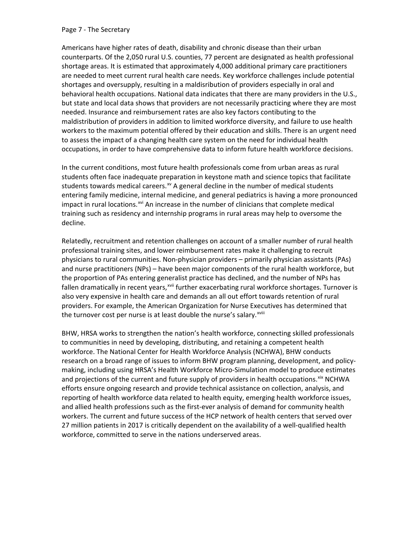#### Page 7 - The Secretary

Americans have higher rates of death, disability and chronic disease than their urban counterparts. Of the 2,050 rural U.S. counties, 77 percent are designated as health professional shortage areas. It is estimated that approximately 4,000 additional primary care practitioners are needed to meet current rural health care needs. Key workforce challenges include potential shortages and oversupply, resulting in a maldisribution of providers especially in oral and behavioral health occupations. National data indicates that there are many providers in the U.S., but state and local data shows that providers are not necessarily practicing where they are most needed. Insurance and reimbursement rates are also key factors contibuting to the maldistribution of providers in addition to limited workforce diversity, and failure to use health workers to the maximum potential offered by their education and skills. There is an urgent need to assess the impact of a changing health care system on the need for individual health occupations, in order to have comprehensive data to inform future health workforce decisions.

In the current conditions, most future health professionals come from urban areas as rural students often face inadequate preparation in keystone math and science topics that facilitate students towards medical careers. $^{x}$  A general decline in the number of medical students entering family medicine, internal medicine, and general pediatrics is having a more pronounced impact in rural locations.<sup>[xvi](#page-9-0)</sup> An increase in the number of clinicians that complete medical training such as residency and internship programs in rural areas may help to oversome the decline.

Relatedly, recruitment and retention challenges on account of a smaller number of rural health professional training sites, and lower reimbursement rates make it challenging to recruit physicians to rural communities. Non-physician providers – primarily physician assistants (PAs) and nurse practitioners (NPs) – have been major components of the rural health workforce, but the proportion of PAs entering generalist practice has declined, and the number of NPs has fallen dramatically in recent years,<sup>[xvii](#page-9-0)</sup> further exacerbating rural workforce shortages. Turnover is the turnover cost per nurse is at least double the nurse's salary.<sup>[xviii](#page-9-0)</sup> also very expensive in health care and demands an all out effort towards retention of rural providers. For example, the American Organization for Nurse Executives has determined that

BHW, HRSA works to strengthen the nation's health workforce, connecting skilled professionals to communities in need by developing, distributing, and retaining a competent health workforce. The National Center for Health Workforce Analysis (NCHWA), BHW conducts research on a broad range of issues to inform BHW program planning, development, and policymaking, including using HRSA's Health Workforce Micro-Simulation model to produce estimates and projections of the current and future supply of providers in health occupations.<sup>[xix](#page-9-0)</sup> NCHWA efforts ensure ongoing research and provide technical assistance on collection, analysis, and reporting of health workforce data related to health equity, emerging health workforce issues, and allied health professions such as the first-ever analysis of demand for community health workers. The current and future success of the HCP network of health centers that served over 27 million patients in 2017 is critically dependent on the availability of a well-qualified health workforce, committed to serve in the nations underserved areas.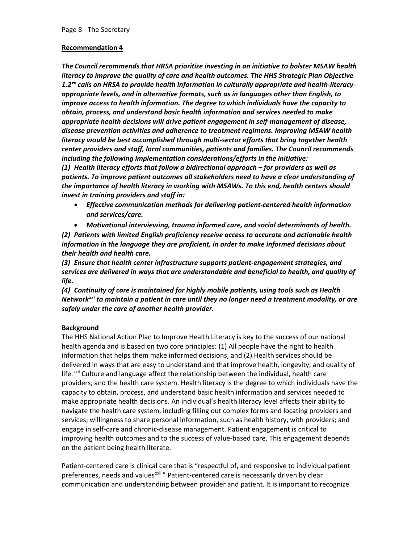### **Recommendation 4**

*The Council recommends that HRSA prioritize investing in an initiative to bolster MSAW health literacy to improve the quality of care and health outcomes. The HHS Strategic Plan Objective 1.2[xx](#page-9-0) calls on HRSA to provide health information in culturally appropriate and health-literacyappropriate levels, and in alternative formats, such as in languages other than English, to improve access to health information. The degree to which individuals have the capacity to obtain, process, and understand basic health information and services needed to make appropriate health decisions will drive patient engagement in self-management of disease, disease prevention activities and adherence to treatment regimens. Improving MSAW health literacy would be best accomplished through multi-sector efforts that bring together health center providers and staff, local communities, patients and families. The Council recommends including the following implementation considerations/efforts in the initiative: (1) Health literacy efforts that follow a bidirectional approach – for providers as well as patients. To improve patient outcomes all stakeholders need to have a clear understanding of the importance of health literacy in working with MSAWs. To this end, health centers should invest in training providers and staff in:* 

- *Effective communication methods for delivering patient-centered health information and services/care.*
- *Motivational interviewing, trauma informed care, and social determinants of health.*

*(2) Patients with limited English proficiency receive access to accurate and actionable health information in the language they are proficient, in order to make informed decisions about their health and health care.* 

*(3) Ensure that health center infrastructure supports patient-engagement strategies, and services are delivered in ways that are understandable and beneficial to health, and quality of life.* 

*(4) Continuity of care is maintained for highly mobile patients, using tools such as Health Network[xxi](#page-9-0) to maintain a patient in care until they no longer need a treatment modality, or are safely under the care of another health provider.* 

# **Background**

The HHS National Action Plan to Improve Health Literacy is key to the success of our national health agenda and is based on two core principles: (1) All people have the right to health information that helps them make informed decisions, and (2) Health services should be delivered in ways that are easy to understand and that improve health, longevity, and quality of life.<sup>[xxii](#page-9-0)</sup> Culture and language affect the relationship between the individual, health care providers, and the health care system. Health literacy is the degree to which individuals have the capacity to obtain, process, and understand basic health information and services needed to make appropriate health decisions. An individual's health literacy level affects their ability to navigate the health care system, including filling out complex forms and locating providers and services; willingness to share personal information, such as health history, with providers; and engage in self-care and chronic-disease management. Patient engagement is critical to improving health outcomes and to the success of value-based care. This engagement depends on the patient being health literate.

Patient-centered care is clinical care that is "respectful of, and responsive to individual patient preferences, needs and values<sup>xxiii</sup>" Patient-centered care is necessarily driven by clear communication and understanding between provider and patient. It is important to recognize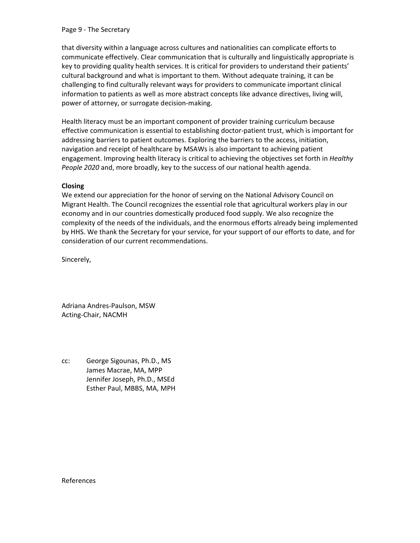### Page 9 - The Secretary

that diversity within a language across cultures and nationalities can complicate efforts to communicate effectively. Clear communication that is culturally and linguistically appropriate is key to providing quality health services. It is critical for providers to understand their patients' cultural background and what is important to them. Without adequate training, it can be challenging to find culturally relevant ways for providers to communicate important clinical information to patients as well as more abstract concepts like advance directives, living will, power of attorney, or surrogate decision-making.

Health literacy must be an important component of provider training curriculum because effective communication is essential to establishing doctor-patient trust, which is important for addressing barriers to patient outcomes. Exploring the barriers to the access, initiation, navigation and receipt of healthcare by MSAWs is also important to achieving patient engagement. Improving health literacy is critical to achieving the objectives set forth in *Healthy People 2020* and, more broadly, key to the success of our national health agenda.

## **Closing**

We extend our appreciation for the honor of serving on the National Advisory Council on Migrant Health. The Council recognizes the essential role that agricultural workers play in our economy and in our countries domestically produced food supply. We also recognize the complexity of the needs of the individuals, and the enormous efforts already being implemented by HHS. We thank the Secretary for your service, for your support of our efforts to date, and for consideration of our current recommendations.

Sincerely,

Adriana Andres-Paulson, MSW Acting-Chair, NACMH

cc: George Sigounas, Ph.D., MS James Macrae, MA, MPP Jennifer Joseph, Ph.D., MSEd Esther Paul, MBBS, MA, MPH

References